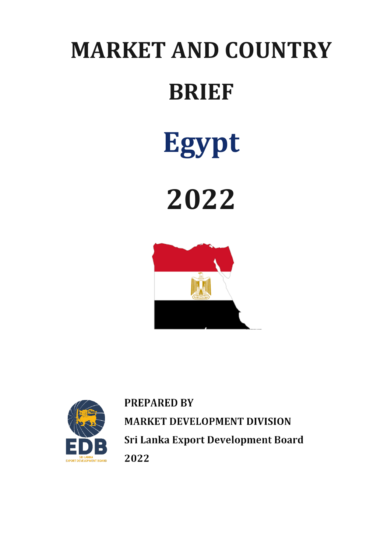# **MARKET AND COUNTRY BRIEF**



**2022**





**PREPARED BY MARKET DEVELOPMENT DIVISION** Sri Lanka Export Development Board 2022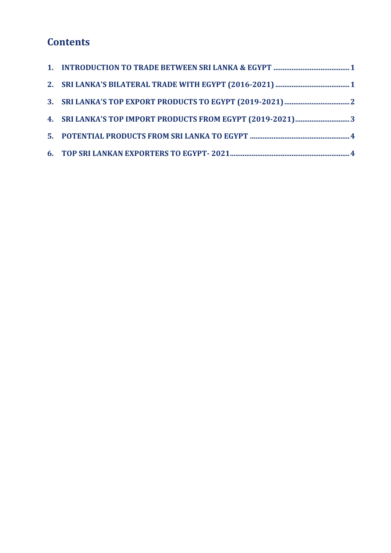## **Contents**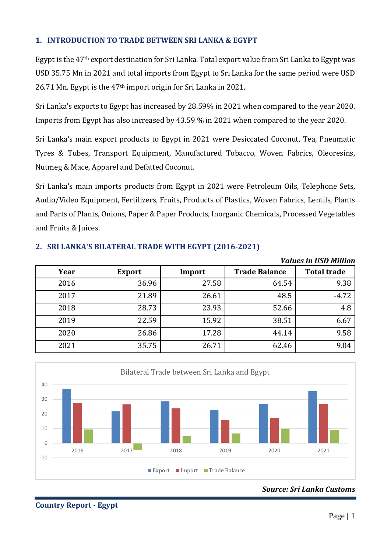#### <span id="page-2-0"></span>**1. INTRODUCTION TO TRADE BETWEEN SRI LANKA & EGYPT**

Egypt is the 47th export destination for Sri Lanka. Total export value from Sri Lanka to Egypt was USD 35.75 Mn in 2021 and total imports from Egypt to Sri Lanka for the same period were USD 26.71 Mn. Egypt is the 47th import origin for Sri Lanka in 2021.

Sri Lanka's exports to Egypt has increased by 28.59% in 2021 when compared to the year 2020. Imports from Egypt has also increased by 43.59 % in 2021 when compared to the year 2020.

Sri Lanka's main export products to Egypt in 2021 were Desiccated Coconut, Tea, Pneumatic Tyres & Tubes, Transport Equipment, Manufactured Tobacco, Woven Fabrics, Oleoresins, Nutmeg & Mace, Apparel and Defatted Coconut.

Sri Lanka's main imports products from Egypt in 2021 were Petroleum Oils, Telephone Sets, Audio/Video Equipment, Fertilizers, Fruits, Products of Plastics, Woven Fabrics, Lentils, Plants and Parts of Plants, Onions, Paper & Paper Products, Inorganic Chemicals, Processed Vegetables and Fruits & Juices.

|      |               |        |                      | VUIUES III UJD MIIIIUII |
|------|---------------|--------|----------------------|-------------------------|
| Year | <b>Export</b> | Import | <b>Trade Balance</b> | <b>Total trade</b>      |
| 2016 | 36.96         | 27.58  | 64.54                | 9.38                    |
| 2017 | 21.89         | 26.61  | 48.5                 | $-4.72$                 |
| 2018 | 28.73         | 23.93  | 52.66                | 4.8                     |
| 2019 | 22.59         | 15.92  | 38.51                | 6.67                    |
| 2020 | 26.86         | 17.28  | 44.14                | 9.58                    |
| 2021 | 35.75         | 26.71  | 62.46                | 9.04                    |

#### <span id="page-2-1"></span>**2. SRI LANKA'S BILATERAL TRADE WITH EGYPT (2016-2021)**



#### *Source: Sri Lanka Customs*

*Values in USD Million*

**Country Report - Egypt**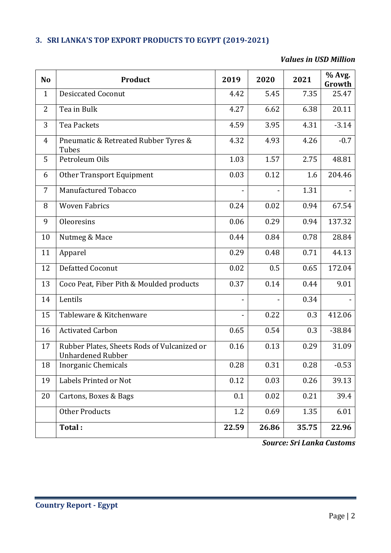### <span id="page-3-0"></span>**3. SRI LANKA'S TOP EXPORT PRODUCTS TO EGYPT (2019-2021)**

#### *Values in USD Million*

| N <sub>o</sub> | Product                                                                 | 2019  | 2020  | 2021  | % Avg.<br>Growth |
|----------------|-------------------------------------------------------------------------|-------|-------|-------|------------------|
| $\mathbf{1}$   | <b>Desiccated Coconut</b>                                               | 4.42  | 5.45  | 7.35  | 25.47            |
| 2              | Tea in Bulk                                                             | 4.27  | 6.62  | 6.38  | 20.11            |
| 3              | <b>Tea Packets</b>                                                      | 4.59  | 3.95  | 4.31  | $-3.14$          |
| $\overline{4}$ | Pneumatic & Retreated Rubber Tyres &<br>Tubes                           | 4.32  | 4.93  | 4.26  | $-0.7$           |
| 5              | Petroleum Oils                                                          | 1.03  | 1.57  | 2.75  | 48.81            |
| 6              | Other Transport Equipment                                               | 0.03  | 0.12  | 1.6   | 204.46           |
| 7              | Manufactured Tobacco                                                    |       |       | 1.31  |                  |
| 8              | <b>Woven Fabrics</b>                                                    | 0.24  | 0.02  | 0.94  | 67.54            |
| 9              | Oleoresins                                                              | 0.06  | 0.29  | 0.94  | 137.32           |
| 10             | Nutmeg & Mace                                                           | 0.44  | 0.84  | 0.78  | 28.84            |
| 11             | Apparel                                                                 | 0.29  | 0.48  | 0.71  | 44.13            |
| 12             | <b>Defatted Coconut</b>                                                 | 0.02  | 0.5   | 0.65  | 172.04           |
| 13             | Coco Peat, Fiber Pith & Moulded products                                | 0.37  | 0.14  | 0.44  | 9.01             |
| 14             | Lentils                                                                 |       |       | 0.34  |                  |
| 15             | Tableware & Kitchenware                                                 |       | 0.22  | 0.3   | 412.06           |
| 16             | <b>Activated Carbon</b>                                                 | 0.65  | 0.54  | 0.3   | $-38.84$         |
| 17             | Rubber Plates, Sheets Rods of Vulcanized or<br><b>Unhardened Rubber</b> | 0.16  | 0.13  | 0.29  | 31.09            |
| 18             | Inorganic Chemicals                                                     | 0.28  | 0.31  | 0.28  | $-0.53$          |
| 19             | Labels Printed or Not                                                   | 0.12  | 0.03  | 0.26  | 39.13            |
| 20             | Cartons, Boxes & Bags                                                   | 0.1   | 0.02  | 0.21  | 39.4             |
|                | <b>Other Products</b>                                                   | 1.2   | 0.69  | 1.35  | 6.01             |
|                | Total:                                                                  | 22.59 | 26.86 | 35.75 | 22.96            |

*Source: Sri Lanka Customs*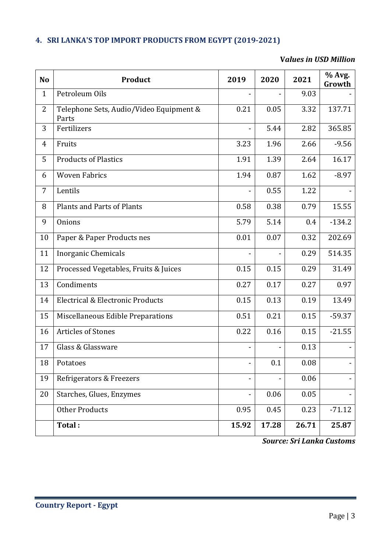#### <span id="page-4-0"></span>**4. SRI LANKA'S TOP IMPORT PRODUCTS FROM EGYPT (2019-2021)**

#### **V***alues in USD Million*

| N <sub>o</sub> | <b>Product</b>                                   | 2019                         | 2020  | 2021  | % Avg.<br>Growth |
|----------------|--------------------------------------------------|------------------------------|-------|-------|------------------|
| $\mathbf{1}$   | Petroleum Oils                                   |                              |       | 9.03  |                  |
| $\overline{2}$ | Telephone Sets, Audio/Video Equipment &<br>Parts | 0.21                         | 0.05  | 3.32  | 137.71           |
| 3              | Fertilizers                                      |                              | 5.44  | 2.82  | 365.85           |
| $\overline{4}$ | Fruits                                           | 3.23                         | 1.96  | 2.66  | $-9.56$          |
| 5              | <b>Products of Plastics</b>                      | 1.91                         | 1.39  | 2.64  | 16.17            |
| 6              | <b>Woven Fabrics</b>                             | 1.94                         | 0.87  | 1.62  | $-8.97$          |
| 7              | Lentils                                          |                              | 0.55  | 1.22  |                  |
| 8              | <b>Plants and Parts of Plants</b>                | 0.58                         | 0.38  | 0.79  | 15.55            |
| 9              | Onions                                           | 5.79                         | 5.14  | 0.4   | $-134.2$         |
| 10             | Paper & Paper Products nes                       | 0.01                         | 0.07  | 0.32  | 202.69           |
| 11             | <b>Inorganic Chemicals</b>                       |                              |       | 0.29  | 514.35           |
| 12             | Processed Vegetables, Fruits & Juices            | 0.15                         | 0.15  | 0.29  | 31.49            |
| 13             | Condiments                                       | 0.27                         | 0.17  | 0.27  | 0.97             |
| 14             | Electrical & Electronic Products                 | 0.15                         | 0.13  | 0.19  | 13.49            |
| 15             | Miscellaneous Edible Preparations                | 0.51                         | 0.21  | 0.15  | $-59.37$         |
| 16             | <b>Articles of Stones</b>                        | 0.22                         | 0.16  | 0.15  | $-21.55$         |
| 17             | Glass & Glassware                                |                              |       | 0.13  |                  |
| $18\,$         | Potatoes                                         |                              | 0.1   | 0.08  |                  |
| 19             | Refrigerators & Freezers                         | -                            |       | 0.06  |                  |
| 20             | Starches, Glues, Enzymes                         | $\qquad \qquad \blacksquare$ | 0.06  | 0.05  |                  |
|                | <b>Other Products</b>                            | 0.95                         | 0.45  | 0.23  | $-71.12$         |
|                | Total:                                           | 15.92                        | 17.28 | 26.71 | 25.87            |

*Source: Sri Lanka Customs*